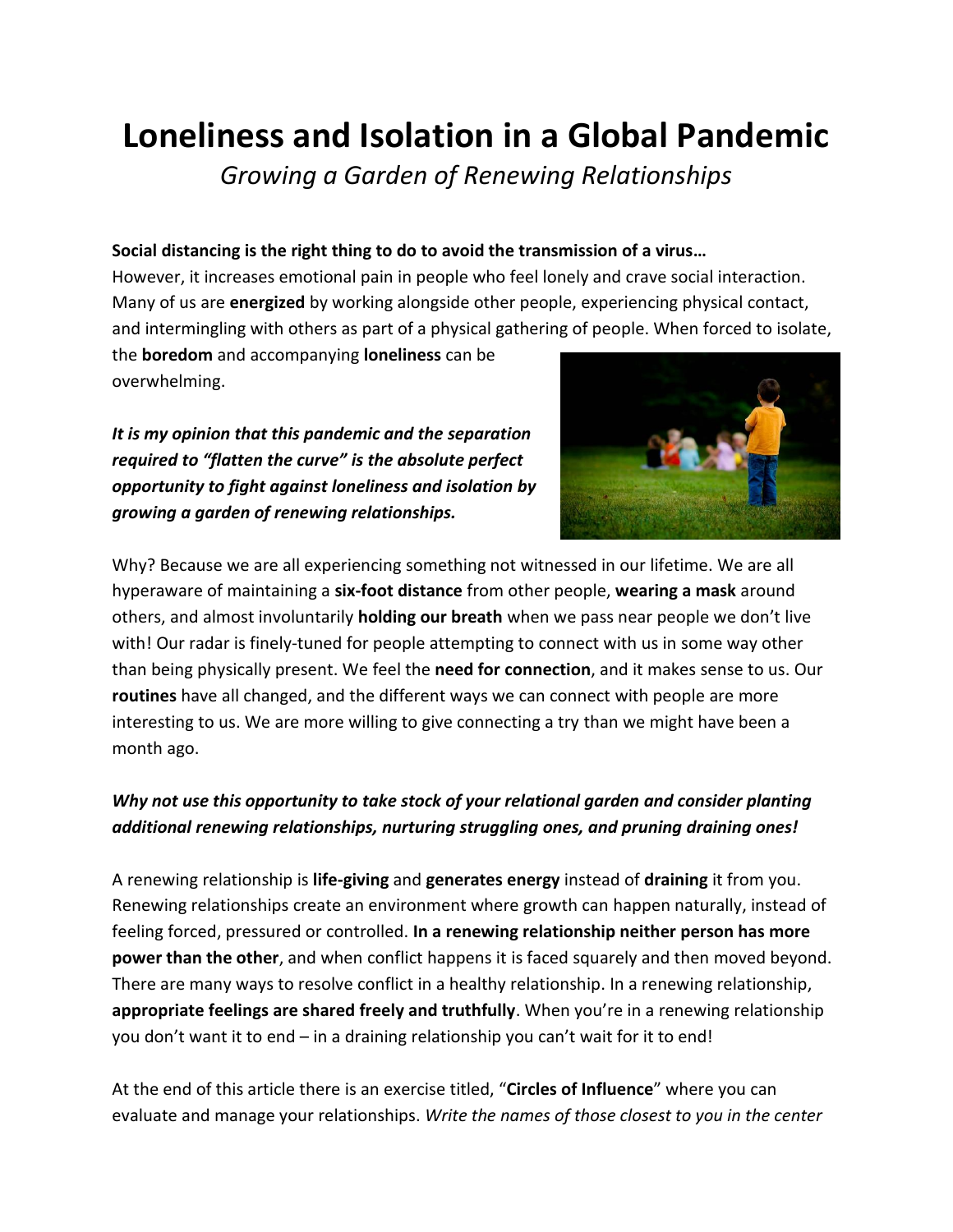## **Loneliness and Isolation in a Global Pandemic**

*Growing a Garden of Renewing Relationships*

## **Social distancing is the right thing to do to avoid the transmission of a virus…**

However, it increases emotional pain in people who feel lonely and crave social interaction. Many of us are **energized** by working alongside other people, experiencing physical contact, and intermingling with others as part of a physical gathering of people. When forced to isolate,

the **boredom** and accompanying **loneliness** can be overwhelming.

*It is my opinion that this pandemic and the separation required to "flatten the curve" is the absolute perfect opportunity to fight against loneliness and isolation by growing a garden of renewing relationships.*



Why? Because we are all experiencing something not witnessed in our lifetime. We are all hyperaware of maintaining a **six-foot distance** from other people, **wearing a mask** around others, and almost involuntarily **holding our breath** when we pass near people we don't live with! Our radar is finely-tuned for people attempting to connect with us in some way other than being physically present. We feel the **need for connection**, and it makes sense to us. Our **routines** have all changed, and the different ways we can connect with people are more interesting to us. We are more willing to give connecting a try than we might have been a month ago.

## *Why not use this opportunity to take stock of your relational garden and consider planting additional renewing relationships, nurturing struggling ones, and pruning draining ones!*

A renewing relationship is **life-giving** and **generates energy** instead of **draining** it from you. Renewing relationships create an environment where growth can happen naturally, instead of feeling forced, pressured or controlled. **In a renewing relationship neither person has more power than the other**, and when conflict happens it is faced squarely and then moved beyond. There are many ways to resolve conflict in a healthy relationship. In a renewing relationship, **appropriate feelings are shared freely and truthfully**. When you're in a renewing relationship you don't want it to end – in a draining relationship you can't wait for it to end!

At the end of this article there is an exercise titled, "**Circles of Influence**" where you can evaluate and manage your relationships. *Write the names of those closest to you in the center*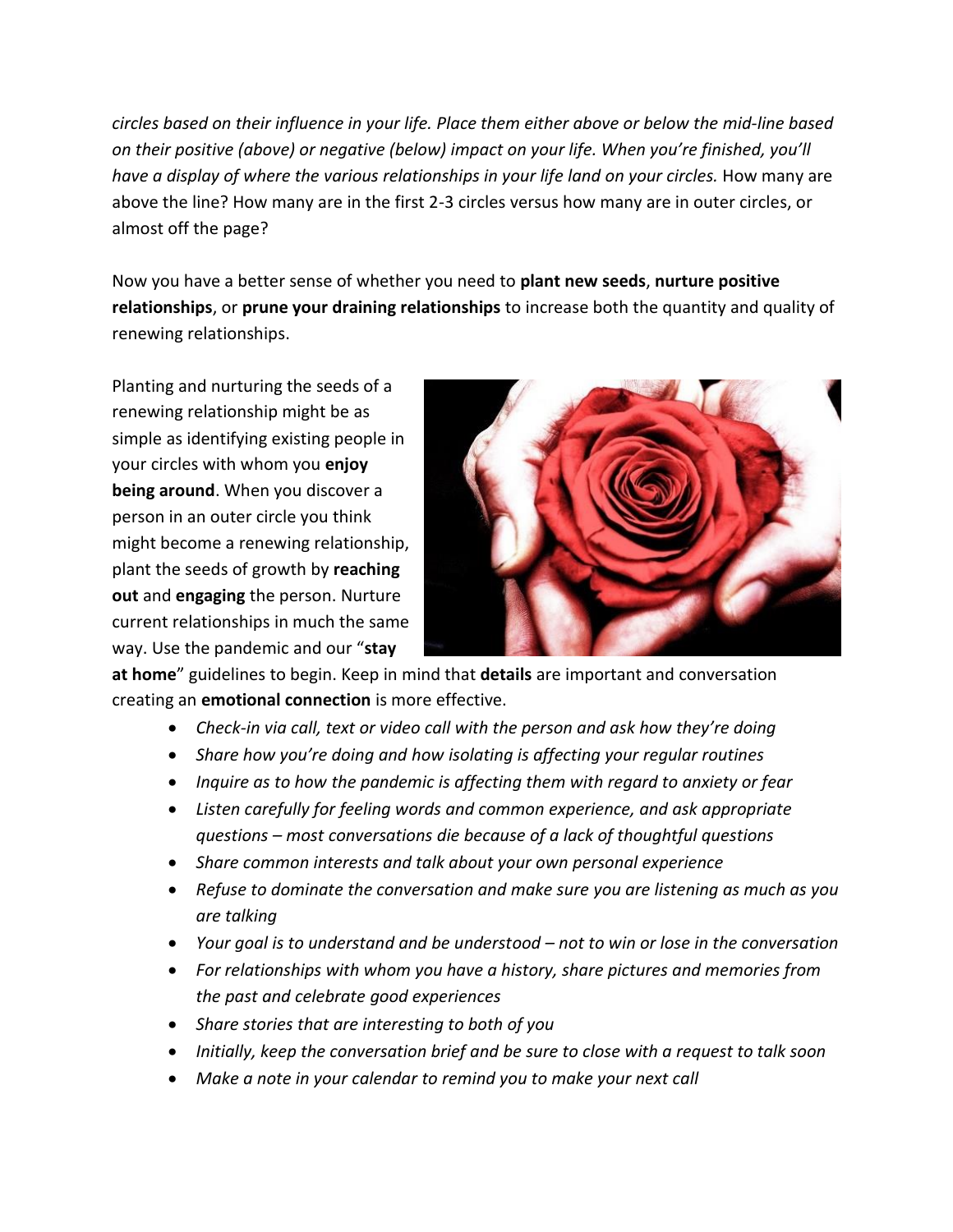*circles based on their influence in your life. Place them either above or below the mid-line based on their positive (above) or negative (below) impact on your life. When you're finished, you'll have a display of where the various relationships in your life land on your circles.* How many are above the line? How many are in the first 2-3 circles versus how many are in outer circles, or almost off the page?

Now you have a better sense of whether you need to **plant new seeds**, **nurture positive relationships**, or **prune your draining relationships** to increase both the quantity and quality of renewing relationships.

Planting and nurturing the seeds of a renewing relationship might be as simple as identifying existing people in your circles with whom you **enjoy being around**. When you discover a person in an outer circle you think might become a renewing relationship, plant the seeds of growth by **reaching out** and **engaging** the person. Nurture current relationships in much the same way. Use the pandemic and our "**stay** 



**at home**" guidelines to begin. Keep in mind that **details** are important and conversation creating an **emotional connection** is more effective.

- *Check-in via call, text or video call with the person and ask how they're doing*
- *Share how you're doing and how isolating is affecting your regular routines*
- *Inquire as to how the pandemic is affecting them with regard to anxiety or fear*
- *Listen carefully for feeling words and common experience, and ask appropriate questions – most conversations die because of a lack of thoughtful questions*
- *Share common interests and talk about your own personal experience*
- *Refuse to dominate the conversation and make sure you are listening as much as you are talking*
- *Your goal is to understand and be understood – not to win or lose in the conversation*
- *For relationships with whom you have a history, share pictures and memories from the past and celebrate good experiences*
- *Share stories that are interesting to both of you*
- *Initially, keep the conversation brief and be sure to close with a request to talk soon*
- *Make a note in your calendar to remind you to make your next call*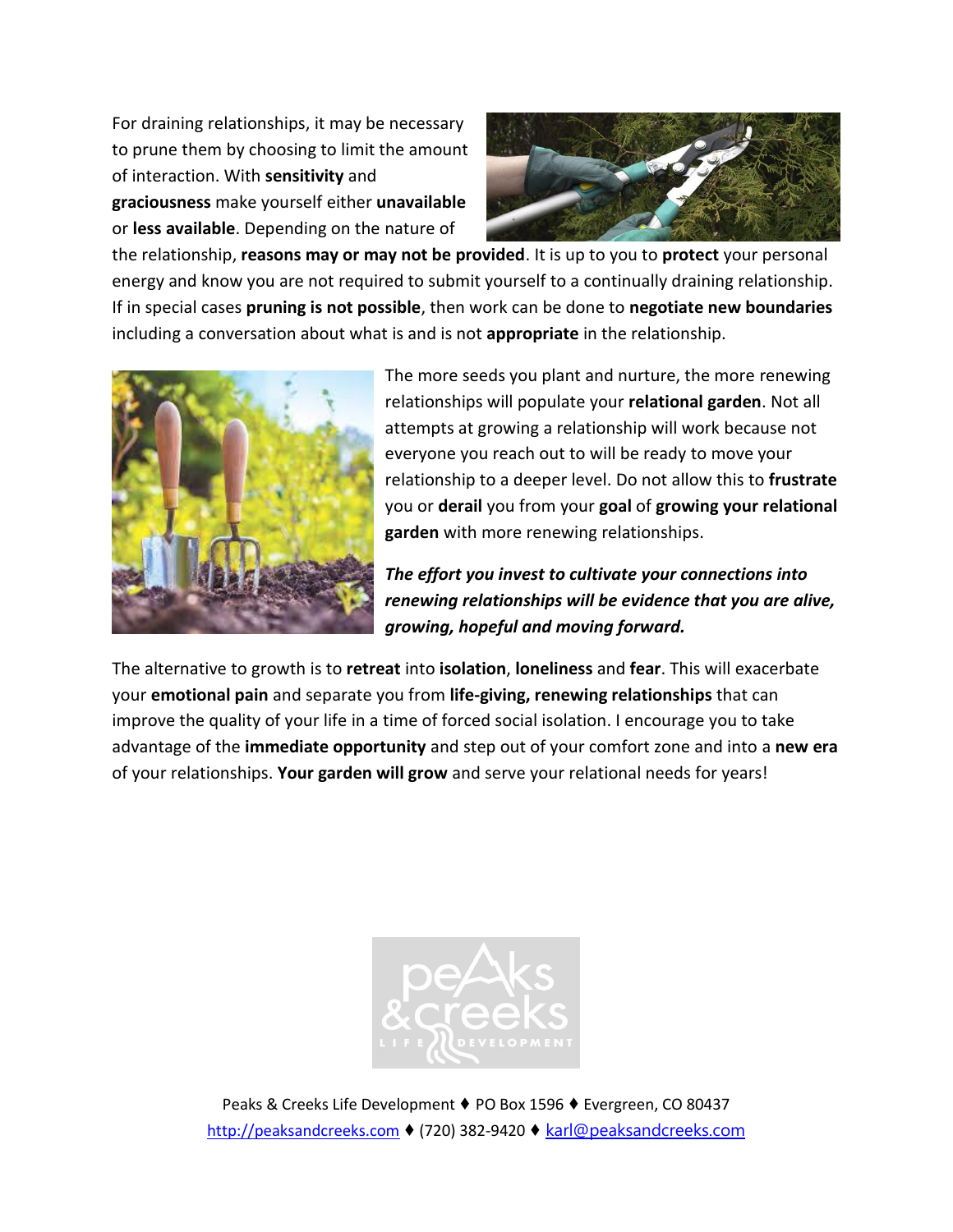For draining relationships, it may be necessary to prune them by choosing to limit the amount of interaction. With **sensitivity** and

**graciousness** make yourself either **unavailable** or **less available**. Depending on the nature of



the relationship, **reasons may or may not be provided**. It is up to you to **protect** your personal energy and know you are not required to submit yourself to a continually draining relationship. If in special cases **pruning is not possible**, then work can be done to **negotiate new boundaries** including a conversation about what is and is not **appropriate** in the relationship.



The more seeds you plant and nurture, the more renewing relationships will populate your **relational garden**. Not all attempts at growing a relationship will work because not everyone you reach out to will be ready to move your relationship to a deeper level. Do not allow this to **frustrate** you or **derail** you from your **goal** of **growing your relational garden** with more renewing relationships.

*The effort you invest to cultivate your connections into renewing relationships will be evidence that you are alive, growing, hopeful and moving forward.*

The alternative to growth is to **retreat** into **isolation**, **loneliness** and **fear**. This will exacerbate your **emotional pain** and separate you from **life-giving, renewing relationships** that can improve the quality of your life in a time of forced social isolation. I encourage you to take advantage of the **immediate opportunity** and step out of your comfort zone and into a **new era** of your relationships. **Your garden will grow** and serve your relational needs for years!



Peaks & Creeks Life Development ♦ PO Box 1596 ♦ Evergreen, CO 80437 [http://peaksandcreeks.com](http://peaksandcreeks.com/) ♦ (720) 382-9420 ♦ [karl@peaksandcreeks.com](mailto:karl@peaksandcreeks.com)